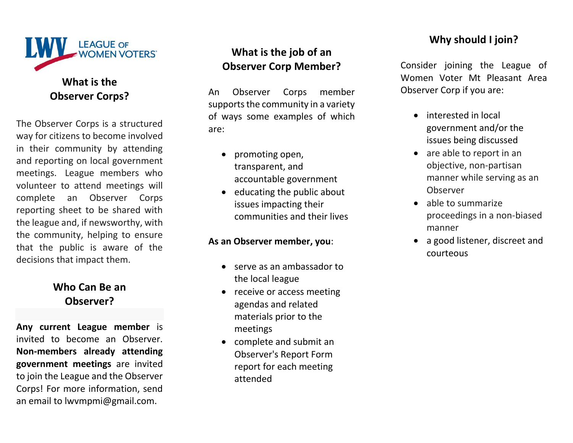

# **Observer Corps?**

The Observer Corps is a structured way for citizens to become involved in their community by attending and reporting on local government meetings. League members who volunteer to attend meetings will complete an Observer Corps reporting sheet to be shared with the league and, if newsworthy, with the community, helping to ensure that the public is aware of the decisions that impact them.

### **Who Can Be an Observer?**

**Any current League member** is invited to become an Observer. **Non-members already attending government meetings** are invited to join the League and the Observer Corps! For more information, send an email to lwvmpmi@gmail.com.

## **What is the job of an Observer Corp Member?**

An Observer Corps member supports the community in a variety of ways some examples of which are:

- promoting open, transparent, and accountable government
- educating the public about issues impacting their communities and their lives

#### **As an Observer member, you**:

- serve as an ambassador to the local league
- receive or access meeting agendas and related materials prior to the meetings
- complete and submit an Observer's Report Form report for each meeting attended

## **Why should I join?**

Consider joining the League of Women Voter Mt Pleasant Area Observer Corp if you are:

- interested in local government and/or the issues being discussed
- are able to report in an objective, non-partisan manner while serving as an Observer
- able to summarize proceedings in a non-biased manner
- a good listener, discreet and courteous